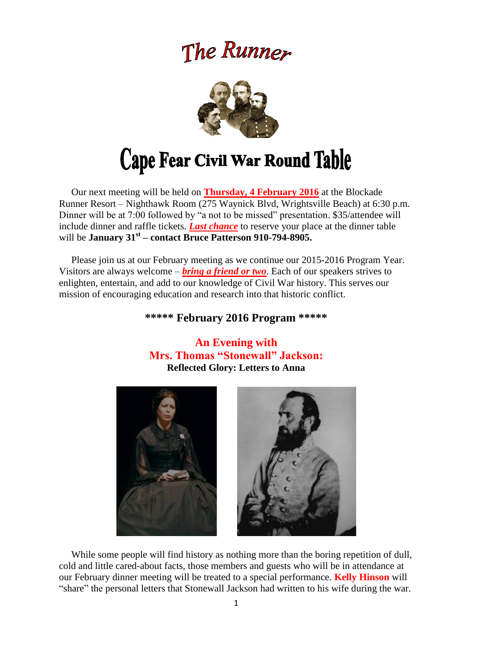## The Runner



# Cape Fear Civil War Round Table

 Our next meeting will be held on **Thursday, 4 February 2016** at the Blockade Runner Resort – Nighthawk Room (275 Waynick Blvd, Wrightsville Beach) at 6:30 p.m. Dinner will be at 7:00 followed by "a not to be missed" presentation. \$35/attendee will include dinner and raffle tickets. *Last chance* to reserve your place at the dinner table will be **January 31st – contact Bruce Patterson 910-794-8905.**

 Please join us at our February meeting as we continue our 2015-2016 Program Year. Visitors are always welcome – *bring a friend or two*. Each of our speakers strives to enlighten, entertain, and add to our knowledge of Civil War history. This serves our mission of encouraging education and research into that historic conflict.

#### **\*\*\*\*\* February 2016 Program \*\*\*\*\***

### **An Evening with Mrs. Thomas "Stonewall" Jackson: Reflected Glory: Letters to Anna**





 While some people will find history as nothing more than the boring repetition of dull, cold and little cared-about facts, those members and guests who will be in attendance at our February dinner meeting will be treated to a special performance. **Kelly Hinson** will "share" the personal letters that Stonewall Jackson had written to his wife during the war.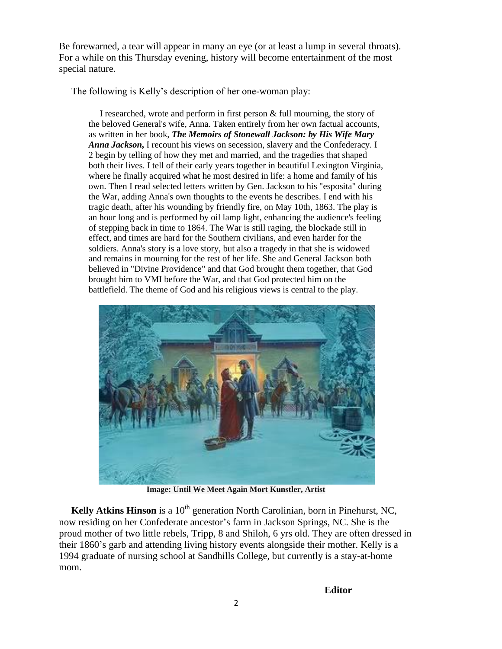Be forewarned, a tear will appear in many an eye (or at least a lump in several throats). For a while on this Thursday evening, history will become entertainment of the most special nature.

The following is Kelly's description of her one-woman play:

 I researched, wrote and perform in first person & full mourning, the story of the beloved General's wife, Anna. Taken entirely from her own factual accounts, as written in her book, *The Memoirs of Stonewall Jackson: by His Wife Mary Anna Jackson***,** I recount his views on secession, slavery and the Confederacy. I 2 begin by telling of how they met and married, and the tragedies that shaped both their lives. I tell of their early years together in beautiful Lexington Virginia, where he finally acquired what he most desired in life: a home and family of his own. Then I read selected letters written by Gen. Jackson to his "esposita" during the War, adding Anna's own thoughts to the events he describes. I end with his tragic death, after his wounding by friendly fire, on May 10th, 1863. The play is an hour long and is performed by oil lamp light, enhancing the audience's feeling of stepping back in time to 1864. The War is still raging, the blockade still in effect, and times are hard for the Southern civilians, and even harder for the soldiers. Anna's story is a love story, but also a tragedy in that she is widowed and remains in mourning for the rest of her life. She and General Jackson both believed in "Divine Providence" and that God brought them together, that God brought him to VMI before the War, and that God protected him on the battlefield. The theme of God and his religious views is central to the play.



**Image: Until We Meet Again Mort Kunstler, Artist**

**Kelly Atkins Hinson** is a 10<sup>th</sup> generation North Carolinian, born in Pinehurst, NC, now residing on her Confederate ancestor's farm in Jackson Springs, NC. She is the proud mother of two little rebels, Tripp, 8 and Shiloh, 6 yrs old. They are often dressed in their 1860's garb and attending living history events alongside their mother. Kelly is a 1994 graduate of nursing school at Sandhills College, but currently is a stay-at-home mom.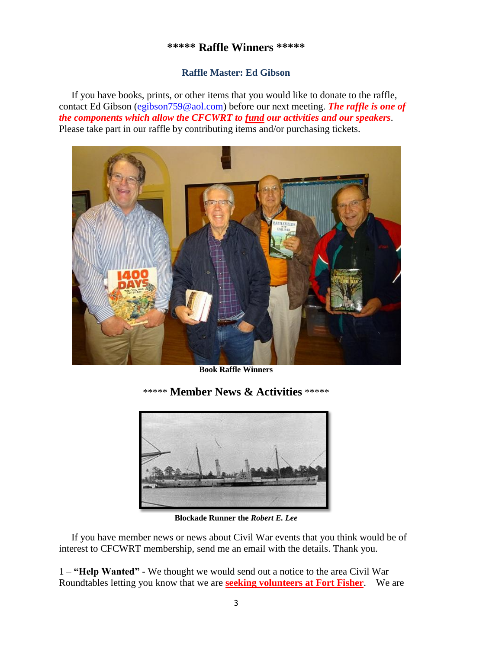#### **\*\*\*\*\* Raffle Winners \*\*\*\*\***

#### **Raffle Master: Ed Gibson**

If you have books, prints, or other items that you would like to donate to the raffle, contact Ed Gibson [\(egibson759@aol.com\)](mailto:egibson759@aol.com) before our next meeting. *The raffle is one of the components which allow the CFCWRT to fund our activities and our speakers*. Please take part in our raffle by contributing items and/or purchasing tickets.



**Book Raffle Winners**

\*\*\*\*\* **Member News & Activities** \*\*\*\*\*



**Blockade Runner the** *Robert E. Lee*

 If you have member news or news about Civil War events that you think would be of interest to CFCWRT membership, send me an email with the details. Thank you.

1 – **"Help Wanted"** - We thought we would send out a notice to the area Civil War Roundtables letting you know that we are **seeking volunteers at Fort Fisher**. We are